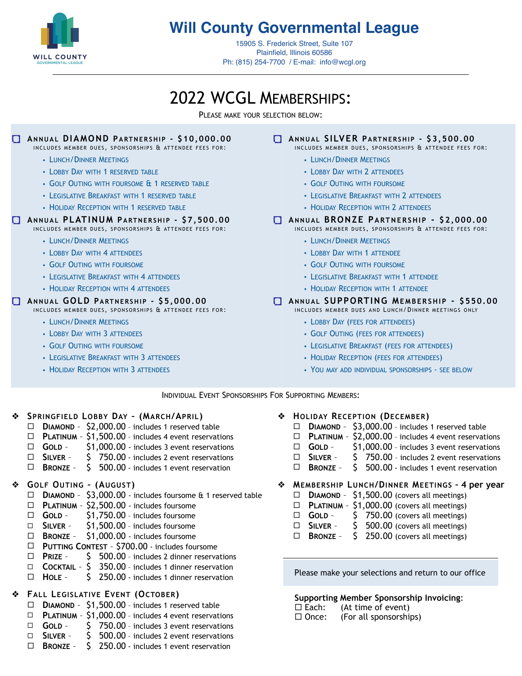

# **Will County Governmental League**

15905 S. Frederick Street, Suite 107 Plainfield, Illinois 60586 Ph: (815) 254-7700 / E-mail: [info@wcgl.org](mailto:info@wcgl.org)

# 2022 WCGL MEMBERSHIPS:

PLEASE MAKE YOUR SELECTION BELOW:

#### **ANNUAL DIAMOND PARTNERSHIP - \$10,000.00**

- INCLUDES MEMBER DUES, SPONSORSHIPS & ATTENDEE FEES FOR:
	- LUNCH/DINNER MEETINGS
	- LOBBY DAY WITH 1 RESERVED TABLE
	- GOLF OUTING WITH FOURSOME & 1 RESERVED TABLE
	- LEGISLATIVE BREAKFAST WITH 1 RESERVED TABLE
	- HOLIDAY RECEPTION WITH 1 RESERVED TABLE

#### **ANNUAL PLATINUM PARTNERSHIP - \$7,500.00**

INCLUDES MEMBER DUES, SPONSORSHIPS & ATTENDEE FEES FOR:

- LUNCH/DINNER MEETINGS
- LOBBY DAY WITH 4 ATTENDEES
- GOLF OUTING WITH FOURSOME
- LEGISLATIVE BREAKFAST WITH 4 ATTENDEES
- HOLIDAY RECEPTION WITH 4 ATTENDEES

#### **ANNUAL GOLD PARTNERSHIP - \$5,000.00**

INCLUDES MEMBER DUES, SPONSORSHIPS & ATTENDEE FEES FOR:

- LUNCH/DINNER MEETINGS
- LOBBY DAY WITH 3 ATTENDEES
- GOLF OUTING WITH FOURSOME
- LEGISLATIVE BREAKFAST WITH 3 ATTENDEES
- HOLIDAY RECEPTION WITH 3 ATTENDEES

#### **ANNUAL SILVER PARTNERSHIP - \$3,500.00**

- INCLUDES MEMBER DUES, SPONSORSHIPS & ATTENDEE FEES FOR:
	- LUNCH/DINNER MEETINGS
	- LOBBY DAY WITH 2 ATTENDEES
	- GOLF OUTING WITH FOURSOME
	- LEGISLATIVE BREAKFAST WITH 2 ATTENDEES
	- HOLIDAY RECEPTION WITH 2 ATTENDEES

#### **ANNUAL BRONZE PARTNERSHIP - \$2,000.00**

- INCLUDES MEMBER DUES, SPONSORSHIPS & ATTENDEE FEES FOR:
	- LUNCH/DINNER MEETINGS
	- LOBBY DAY WITH 1 ATTENDEE
	- GOLF OUTING WITH FOURSOME
	- LEGISLATIVE BREAKFAST WITH 1 ATTENDEE
	- HOLIDAY RECEPTION WITH 1 ATTENDEE

#### **ANNUAL SUPPORTING MEMBERSHIP - \$550.00**

INCLUDES MEMBER DUES AND LUNCH/DINNER MEETINGS ONLY

- LOBBY DAY (FEES FOR ATTENDEES)
- GOLF OUTING (FEES FOR ATTENDEES)
- LEGISLATIVE BREAKFAST (FEES FOR ATTENDEES)
- HOLIDAY RECEPTION (FEES FOR ATTENDEES)
- YOU MAY ADD INDIVIDUAL SPONSORSHIPS SEE BELOW

INDIVIDUAL EVENT SPONSORSHIPS FOR SUPPORTING MEMBERS:

#### ❖ **SPRINGFIELD LOBBY DAY – (MARCH/APRIL)**

- ! **DIAMOND** \$2,000.00 includes 1 reserved table
- □ **PLATINUM** \$1,500.00 includes 4 event reservations
- □ **GOLD** \$1,000.00 includes 3 event reservations
- □ **SILVER** S 750.00 includes 2 event reservations
- ! **BRONZE** \$ 500.00 includes 1 event reservation

#### ❖ **GOLF OUTING – (AUGUST)**

- ! **DIAMOND** \$3,000.00 includes foursome & 1 reserved table
- ! **PLATINUM** \$2,500.00 includes foursome
- □ **GOLD** \$1,750.00 includes foursome
- ! **SILVER** \$1,500.00 includes foursome
- ! **BRONZE** \$1,000.00 includes foursome
- ! **PUTTING CONTEST** \$700.00 includes foursome
- ! **PRIZE** \$ 500.00 includes 2 dinner reservations
- ! **COCKTAIL** \$ 350.00 includes 1 dinner reservation
- □ HOLE \$ 250.00 includes 1 dinner reservation

### ❖ **FALL LEGISLATIVE EVENT (OCTOBER)**

- ! **DIAMOND** \$1,500.00 includes 1 reserved table
- ! **PLATINUM** \$1,000.00 includes 4 event reservations
- □ **GOLD** S 750.00 includes 3 event reservations □ **SILVER** – \$ 500.00 - includes 2 event reservations
- 
- ! **BRONZE** \$ 250.00 includes 1 event reservation
- ❖ **HOLIDAY RECEPTION (DECEMBER)**
	- ! **DIAMOND** \$3,000.00 includes 1 reserved table
	- □ **PLATINUM** \$2,000.00 includes 4 event reservations
	- □ **GOLD** \$1,000.00 includes 3 event reservations
	- □ **SILVER** S 750.00 includes 2 event reservations
	- ! **BRONZE** \$ 500.00 includes 1 event reservation
	- ❖ **MEMBERSHIP LUNCH/DINNER MEETINGS 4 per year** 
		- $\Box$  **DIAMOND** \$1,500.00 (covers all meetings)
		- $\Box$  **PLATINUM** \$1,000.00 (covers all meetings)
		- $\Box$  **GOLD**  $\Box$  **50.00** (covers all meetings)
		- $\Box$  **SILVER**  $\phantom{0}$  \$ 500.00 (covers all meetings)
		- ! **BRONZE** \$ 250.00 (covers all meetings)

Please make your selections and return to our office

#### **Supporting Member Sponsorship Invoicing**:

- $\Box$  Each: (At time of event)
- $\Box$  Once: (For all sponsorships)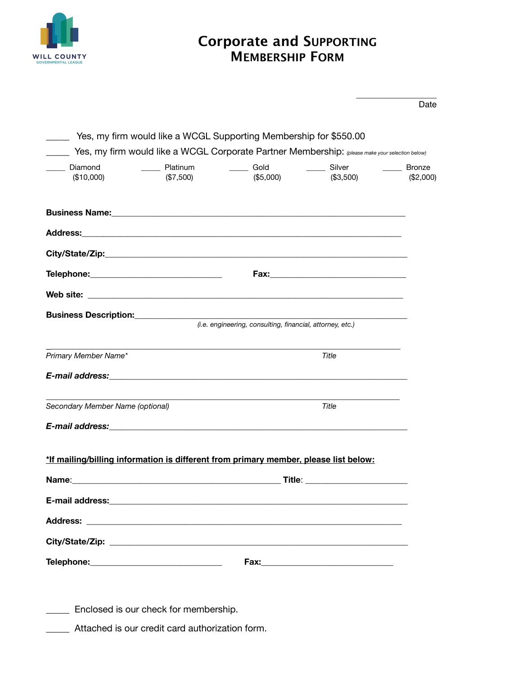

### **Corporate and SUPPORTING MEMBERSHIP FORM**

|                                                                                               | Yes, my firm would like a WCGL Corporate Partner Membership: (please make your selection below) |       |             |
|-----------------------------------------------------------------------------------------------|-------------------------------------------------------------------------------------------------|-------|-------------|
|                                                                                               |                                                                                                 |       | $(\$2,000)$ |
|                                                                                               |                                                                                                 |       |             |
| Address: Address:                                                                             |                                                                                                 |       |             |
|                                                                                               |                                                                                                 |       |             |
| Telephone:___________________________________                                                 |                                                                                                 |       |             |
|                                                                                               |                                                                                                 |       |             |
| <b>Business Description:</b> <i>(i.e. engineering, consulting, financial, attorney, etc.)</i> |                                                                                                 |       |             |
|                                                                                               |                                                                                                 |       |             |
| Primary Member Name*                                                                          |                                                                                                 | Title |             |
|                                                                                               |                                                                                                 |       |             |
| Secondary Member Name (optional)                                                              |                                                                                                 | Title |             |
|                                                                                               |                                                                                                 |       |             |
|                                                                                               |                                                                                                 |       |             |
| *If mailing/billing information is different from primary member, please list below:          |                                                                                                 |       |             |
| Name:                                                                                         |                                                                                                 |       |             |
|                                                                                               |                                                                                                 |       |             |
|                                                                                               |                                                                                                 |       |             |
|                                                                                               |                                                                                                 |       |             |
|                                                                                               |                                                                                                 |       |             |